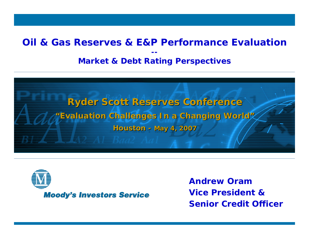#### *Oil & Gas Reserves & E&P Performance Evaluation*

#### **Market & Debt Rating Perspectives**

**--**





#### **Moody's Investors Service**

**Andrew OramVice President &Senior Credit Officer**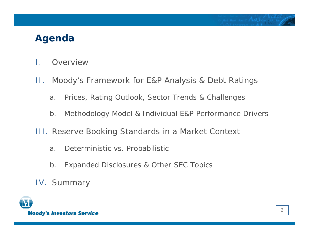# **Agenda**

- I.Overview
- II. Moody's Framework for E&P Analysis & Debt Ratings
	- a. Prices, Rating Outlook, Sector Trends & Challenges
	- b. Methodology Model & Individual E&P Performance Drivers
- III. Reserve Booking Standards in a Market Context
	- a. Deterministic vs. Probabilistic
	- b. Expanded Disclosures & Other SEC Topics
- IV. Summary

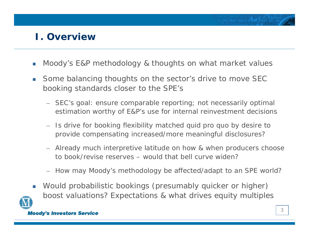# **I. Overview**

- H Moody's E&P methodology & thoughts on what market values
- $\overline{\phantom{a}}$  Some balancing thoughts on the sector's drive to move SEC booking standards closer to the SPE's
	- SEC's goal: ensure comparable reporting; not necessarily optimal estimation worthy of E&P's use for internal reinvestment decisions
	- Is drive for booking flexibility matched quid pro quo by desire to provide compensating increased/more meaningful disclosures?
	- Already much interpretive latitude on how & when producers choose to book/revise reserves – would that bell curve widen?
	- How may Moody's methodology be affected/adapt to an SPE world?
- П Would probabilistic bookings (presumably quicker or higher) boost valuations? Expectations & what drives equity multiples

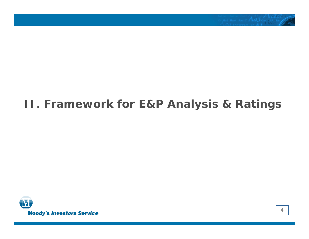

# **II. Framework for E&P Analysis & Ratings**

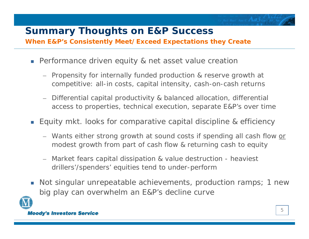# **Summary Thoughts on E&P Success**

*When E&P's Consistently Meet/Exceed Expectations they Create*

- Performance driven equity & net asset value creation
	- Propensity for internally funded production & reserve growth at competitive: all-in costs, capital intensity, cash-on-cash returns
	- Differential capital productivity & balanced allocation, differential access to properties, technical execution, separate E&P's over time
- Equity mkt. looks for comparative capital discipline & efficiency
	- Wants either strong growth at sound costs if spending all cash flow <u>or</u> modest growth from part of cash flow & returning cash to equity
	- $\overline{\phantom{0}}$  Market fears capital dissipation & value destruction - heaviest drillers'/spenders' equities tend to under-perform
- Not singular unrepeatable achievements, production ramps; 1 new big play can overwhelm an E&P's decline curve

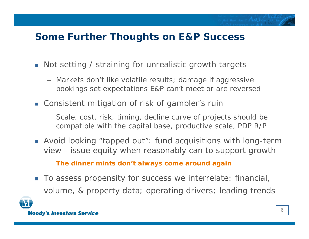# **Some Further Thoughts on E&P Success**

- Not setting / straining for unrealistic growth targets
	- Markets don't like volatile results; damage if aggressive bookings set expectations E&P can't meet or are reversed
- **EX Consistent mitigation of risk of gambler's ruin** 
	- Scale, cost, risk, timing, decline curve of projects should be compatible with the capital base, productive scale, PDP R/P
- Avoid looking "tapped out": fund acquisitions with long-term view - issue equity when reasonably can to support growth
	- *The dinner mints don't always come around again*
- $\mathcal{L}_{\mathcal{A}}$  To assess propensity for success we interrelate: financial, volume, & property data; operating drivers; leading trends

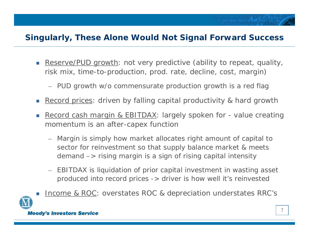#### **Singularly, These Alone Would Not Signal Forward Success**

- F Reserve/PUD growth: not very predictive (ability to repeat, quality, risk mix, time-to-production, prod. rate, decline, cost, margin)
	- PUD growth w/o commensurate production growth is a red flag
- F Record prices: driven by falling capital productivity & hard growth
- F Record cash margin & EBITDAX: largely spoken for - value creating momentum is an after-capex function
	- Margin is simply how market allocates right amount of capital to sector for reinvestment so that supply balance market & meets demand –> rising margin is a sign of rising capital intensity
	- EBITDAX is liquidation of prior capital investment in wasting asset produced into record prices -> driver is how well it's reinvested



Income & ROC: overstates ROC & depreciation understates RRC's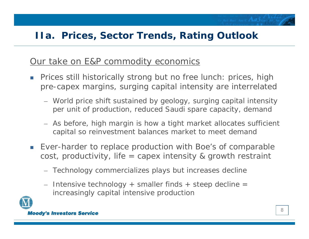# **IIa. Prices, Sector Trends, Rating Outlook**

#### Our take on E&P commodity economics

- $\mathcal{L}_{\mathcal{A}}$  Prices still historically strong but no free lunch: prices, high pre-capex margins, surging capital intensity are interrelated
	- World price shift sustained by geology, surging capital intensity per unit of production, reduced Saudi spare capacity, demand
	- As before, high margin is how a tight market allocates sufficient capital so reinvestment balances market to meet demand
- $\mathcal{L}^{\text{max}}$  Ever-harder to replace production with Boe's of comparable cost, productivity, life  $=$  capex intensity & growth restraint
	- Technology commercializes plays but increases decline
	- Intensive technology + smaller finds + steep decline = increasingly capital intensive production

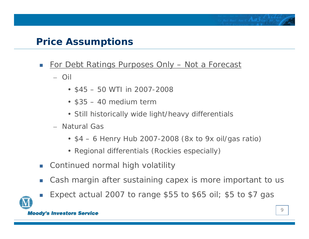#### **Price Assumptions**

- $\mathcal{C}$  For Debt Ratings Purposes Only – Not a Forecast
	- Oil
		- \$45 50 WTI in 2007-2008
		- \$35 40 medium term
		- Still historically wide light/heavy differentials
	- Natural Gas
		- \$4 6 Henry Hub 2007-2008 (8x to 9x oil/gas ratio)
		- Regional differentials (Rockies especially)
- $\mathbb{R}^3$ Continued normal high volatility
- T. Cash margin after sustaining capex is more important to us



F.

Expect actual 2007 to range \$55 to \$65 oil; \$5 to \$7 gas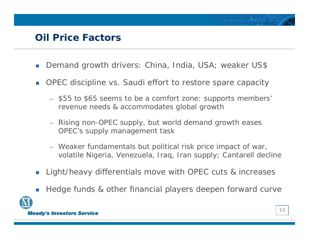#### **Oil Price Factors**

- П Demand growth drivers: China, India, USA; weaker US\$
- П OPEC discipline vs. Saudi effort to restore spare capacity
	- \$55 to \$65 seems to be a comfort zone: supports members' revenue needs & accommodates global growth
	- Rising non-OPEC supply, but world demand growth eases OPEC's supply management task
	- Weaker fundamentals but political risk price impact of war, volatile Nigeria, Venezuela, Iraq, Iran supply; Cantarell decline
- П Light/heavy differentials move with OPEC cuts & increases
- П Hedge funds & other financial players deepen forward curve

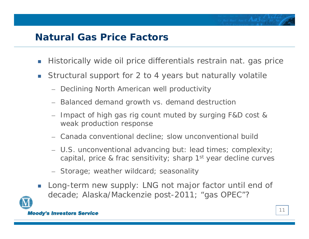## **Natural Gas Price Factors**

- **Tara** Historically wide oil price differentials restrain nat. gas price
- $\mathcal{C}$  Structural support for 2 to 4 years but naturally volatile
	- Declining North American well productivity
	- Balanced demand growth vs. demand destruction
	- – Impact of high gas rig count muted by surging F&D cost & weak production response
	- Canada conventional decline; slow unconventional build
	- U.S. unconventional advancing but: lead times; complexity; capital, price & frac sensitivity; sharp 1st year decline curves
	- Storage; weather wildcard; seasonality
- $\mathcal{L}_{\mathrm{eff}}$  Long-term new supply: LNG not major factor until end of decade; Alaska/Mackenzie post-2011; "gas OPEC"?

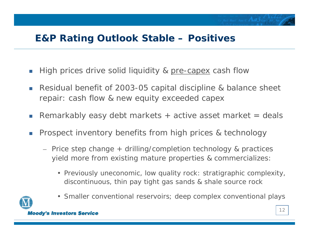# Bu3 Bual Adu C  $Ad3\,$ Cant

### **E&P Rating Outlook Stable – Positives**

- $\mathcal{C}_{\mathcal{A}}$ High prices drive solid liquidity & pre-capex cash flow
- $\mathcal{C}_{\mathcal{A}}$  Residual benefit of 2003-05 capital discipline & balance sheet repair: cash flow & new equity exceeded capex
- Remarkably easy debt markets + active asset market = deals
- $\mathcal{C}_{\mathcal{A}}$  Prospect inventory benefits from high prices & technology
	- Price step change + drilling/completion technology & practices yield more from existing mature properties & commercializes:
		- Previously uneconomic, low quality rock: stratigraphic complexity, discontinuous, thin pay tight gas sands & shale source rock



• Smaller conventional reservoirs; deep complex conventional plays

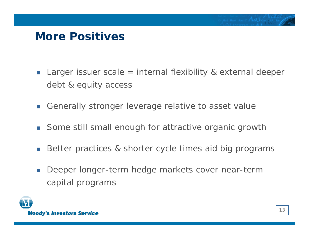# **More Positives**

- $\mathcal{L}_{\mathcal{A}}$  Larger issuer scale = internal flexibility & external deeper debt & equity access
- Г Generally stronger leverage relative to asset value
- Г Some still small enough for attractive organic growth
- Г Better practices & shorter cycle times aid big programs
- $\mathcal{L}_{\mathcal{A}}$  Deeper longer-term hedge markets cover near-term capital programs

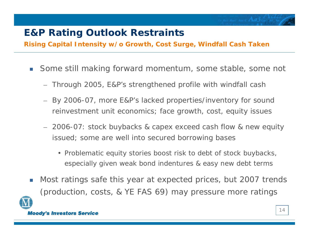# **E&P Rating Outlook Restraints**

*Rising Capital Intensity w/o Growth, Cost Surge, Windfall Cash Taken*

- $\mathcal{L}_{\text{eff}}$  Some still making forward momentum, some stable, some not
	- Through 2005, E&P's strengthened profile with windfall cash
	- By 2006-07, more E&P's lacked properties/inventory for sound reinvestment unit economics; face growth, cost, equity issues
	- 2006-07: stock buybacks & capex exceed cash flow & new equity issued; some are well into secured borrowing bases
		- Problematic equity stories boost risk to debt of stock buybacks, especially given weak bond indentures & easy new debt terms
- $\mathcal{L}_{\text{eff}}$  Most ratings safe this year at expected prices, but 2007 trends (production, costs, & YE FAS 69) may pressure more ratings

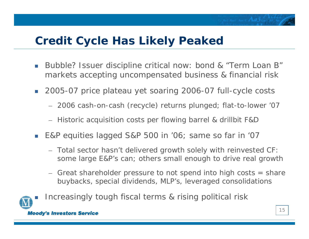# **Credit Cycle Has Likely Peaked**

- n. Bubble? Issuer discipline critical now: bond & "Term Loan B" markets accepting uncompensated business & financial risk
- $\mathcal{L}^{\mathcal{A}}$  2005-07 price plateau yet soaring 2006-07 full-cycle costs
	- 2006 cash-on-cash (recycle) returns plunged; flat-to-lower '07
	- Historic acquisition costs per flowing barrel & drillbit F&D
- $\mathcal{L}^{\mathcal{L}}$  E&P equities lagged S&P 500 in '06; same so far in '07
	- Total sector hasn't delivered growth solely with reinvested CF: some large E&P's can; others small enough to drive real growth
	- Great shareholder pressure to not spend into high costs = share buybacks, special dividends, MLP's, leveraged consolidations



Increasingly tough fiscal terms & rising political risk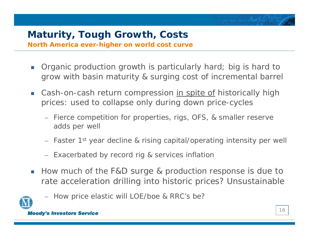# **Maturity, Tough Growth, Costs**

*North America ever-higher on world cost curve*

- P. Organic production growth is particularly hard; big is hard to grow with basin maturity & surging cost of incremental barrel
- $\mathcal{C}_{\mathcal{A}}$ Cash-on-cash return compression in spite of historically high prices: used to collapse only during down price-cycles
	- Fierce competition for properties, rigs, OFS, & smaller reserve adds per well
	- Faster 1st year decline & rising capital/operating intensity per well
	- Exacerbated by record rig & services inflation
- $\mathcal{L}^{\mathcal{L}}$  How much of the F&D surge & production response is due to rate acceleration drilling into historic prices? Unsustainable



– How price elastic will LOE/boe & RRC's be?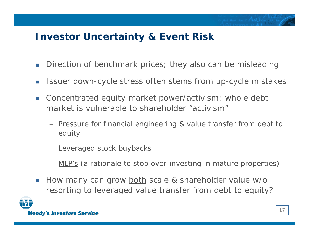# **Investor Uncertainty & Event Risk**

- П Direction of benchmark prices; they also can be misleading
- П Issuer down-cycle stress often stems from up-cycle mistakes
- $\mathcal{L}_{\mathcal{A}}$  Concentrated equity market power/activism: whole debt market is vulnerable to shareholder "activism"
	- Pressure for financial engineering & value transfer from debt to equity
	- Leveraged stock buybacks
	- MLP's (a rationale to stop over-investing in mature properties)
- $\sim$  How many can grow both scale & shareholder value w/o resorting to leveraged value transfer from debt to equity?

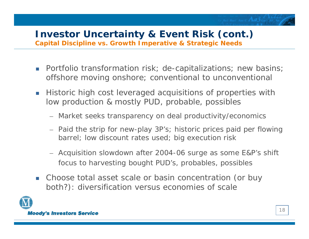### **Investor Uncertainty & Event Risk (cont.)**

*Capital Discipline vs. Growth Imperative & Strategic Needs*

- Portfolio transformation risk; de-capitalizations; new basins; offshore moving onshore; conventional to unconventional
- **Historic high cost leveraged acquisitions of properties with** low production & mostly PUD, probable, possibles
	- Market seeks transparency on deal productivity/economics
	- Paid the strip for new-play 3P's; historic prices paid per flowing barrel; low discount rates used; big execution risk
	- Acquisition slowdown after 2004-06 surge as some E&P's shift focus to harvesting bought PUD's, probables, possibles
- **Choose total asset scale or basin concentration (or buy** both?): diversification versus economies of scale

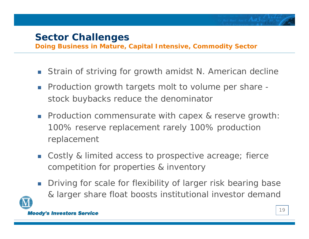# **Sector Challenges**

*Doing Business in Mature, Capital Intensive, Commodity Sector*

- Strain of striving for growth amidst N. American decline
- Production growth targets molt to volume per share stock buybacks reduce the denominator
- **Production commensurate with capex & reserve growth:** 100% reserve replacement rarely 100% production replacement
- Costly & limited access to prospective acreage; fierce competition for properties & inventory
- Г Driving for scale for flexibility of larger risk bearing base & larger share float boosts institutional investor demand

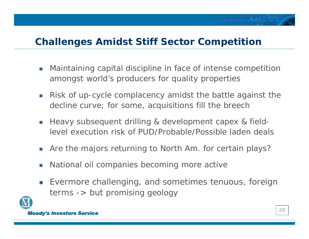### **Challenges Amidst Stiff Sector Competition**

- $\mathbb{R}^n$  Maintaining capital discipline in face of intense competition amongst world's producers for quality properties
- $\mathcal{L}_{\mathcal{A}}$  Risk of up-cycle complacency amidst the battle against the decline curve; for some, acquisitions fill the breech
- $\mathcal{C}$  Heavy subsequent drilling & development capex & fieldlevel execution risk of PUD/Probable/Possible laden deals
- $\mathcal{C}^{\mathcal{A}}$ Are the majors returning to North Am. for certain plays?
- $\mathcal{C}^{\mathcal{A}}$ National oil companies becoming more active
- $\mathbb{R}^3$  Evermore challenging, and sometimes tenuous, foreign terms -> but promising geology

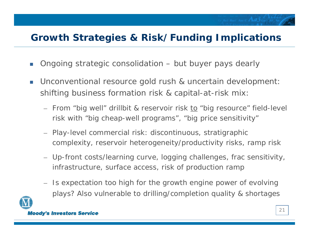# **Growth Strategies & Risk/Funding Implications**

- F. Ongoing strategic consolidation – but buyer pays dearly
- **Tale**  Unconventional resource gold rush & uncertain development: shifting business formation risk & capital-at-risk mix:
	- From "big well" drillbit & reservoir risk <u>to</u> "big resource" field-level risk with "big cheap-well programs", "big price sensitivity"
	- Play-level commercial risk: discontinuous, stratigraphic complexity, reservoir heterogeneity/productivity risks, ramp risk
	- Up-front costs/learning curve, logging challenges, frac sensitivity, infrastructure, surface access, risk of production ramp
	- Is expectation too high for the growth engine power of evolving plays? Also vulnerable to drilling/completion quality & shortages

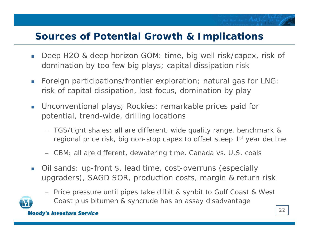## **Sources of Potential Growth & Implications**

- $\left\lfloor \cdot \right\rfloor$  Deep H2O & deep horizon GOM: time, big well risk/capex, risk of domination by too few big plays; capital dissipation risk
- $\mathcal{L}^{\text{max}}_{\text{max}}$  Foreign participations/frontier exploration; natural gas for LNG: risk of capital dissipation, lost focus, domination by play
- $\mathcal{L}^{\mathcal{A}}$  Unconventional plays; Rockies: remarkable prices paid for potential, trend-wide, drilling locations
	- TGS/tight shales: all are different, wide quality range, benchmark & regional price risk, big non-stop capex to offset steep 1<sup>st</sup> year decline
	- CBM: all are different, dewatering time, Canada vs. U.S. coals
- $\mathcal{L}_{\mathcal{A}}$  Oil sands: up-front \$, lead time, cost-overruns (especially upgraders), SAGD SOR, production costs, margin & return risk
- 
- Price pressure until pipes take dilbit & synbit to Gulf Coast & West Coast plus bitumen & syncrude has an assay disadvantage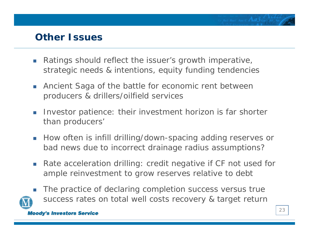#### **Other Issues**

- F Ratings should reflect the issuer's growth imperative, strategic needs & intentions, equity funding tendencies
- F. *Ancient Saga* of the battle for economic rent between producers & drillers/oilfield services
- $\mathcal{C}$  Investor patience: their investment horizon is far shorter than producers'
- $\sim$  How often is infill drilling/down-spacing adding reserves or bad news due to incorrect drainage radius assumptions?
- $\mathcal{A}$  Rate acceleration drilling: credit negative if CF not used for ample reinvestment to grow reserves relative to debt
- F The practice of declaring completion success versus true success rates on total well costs recovery & target return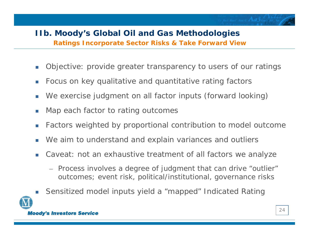#### **IIb. Moody's Global Oil and Gas Methodologies** *Ratings Incorporate Sector Risks & Take Forward View*

- $\mathbb{R}^3$ Objective: provide greater transparency to users of our ratings
- $\mathcal{C}^{\mathcal{A}}$ Focus on key qualitative and quantitative rating factors
- m. We exercise judgment on all factor inputs (forward looking)
- **I** Map each factor to rating outcomes
- **T** Factors weighted by proportional contribution to model outcome
- **I** We aim to understand and explain variances and outliers
- $\overline{\mathbb{R}^n}$  Caveat: not an exhaustive treatment of all factors we analyze
	- Process involves a degree of judgment that can drive "outlier" outcomes; event risk, political/institutional, governance risks
- $\sim$ Sensitized model inputs yield a "mapped" Indicated Rating

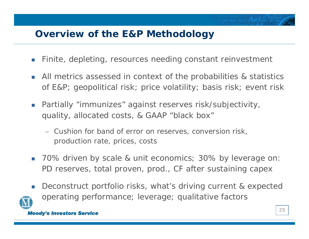### **Overview of the E&P Methodology**

- $\mathcal{C}_{\mathcal{A}}$ Finite, depleting, resources needing constant reinvestment
- All metrics assessed in context of the probabilities & statistics of E&P; geopolitical risk; price volatility; basis risk; event risk
- Partially "immunizes" against reserves risk/subjectivity, quality, allocated costs, & GAAP "black box"
	- Cushion for band of error on reserves, conversion risk, production rate, prices, costs
- $\left\vert \psi_{\pm}\right\vert$  70% driven by scale & unit economics; 30% by leverage on: PD reserves, total proven, prod., CF after sustaining capex
- $\mathcal{C}^{\mathcal{A}}$  Deconstruct portfolio risks, what's driving current & expected operating performance; leverage; qualitative factors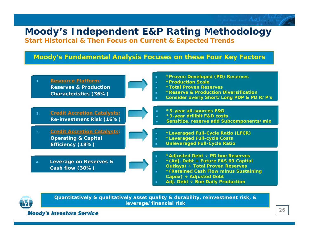**Moody's Independent E&P Rating Methodology**

*Start Historical & Then Focus on Current & Expected Trends*

#### **Moody's Fundamental Analysis Focuses on these Four Key Factors**





**Quantitatively & qualitatively asset quality & durability, reinvestment risk, & leverage/financial risk**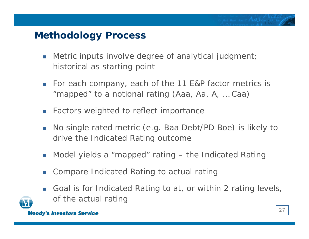# **Methodology Process**

- **T**  Metric inputs involve degree of analytical judgment; historical as starting point
- $\mathcal{L}^{\mathcal{A}}$  For each company, each of the 11 E&P factor metrics is "mapped" to a notional rating (Aaa, Aa, A, ... Caa)
- $\sim$ Factors weighted to reflect importance
- $\mathbb{R}^n$  No single rated metric (e.g. Baa Debt/PD Boe) is likely to drive the Indicated Rating outcome
- $\mathcal{L}_{\mathcal{A}}$ Model yields a "mapped" rating – the Indicated Rating
- P. Compare Indicated Rating to actual rating
- $\mathcal{C}_{\mathcal{A}}$  Goal is for Indicated Rating to at, or within 2 rating levels, of the actual rating

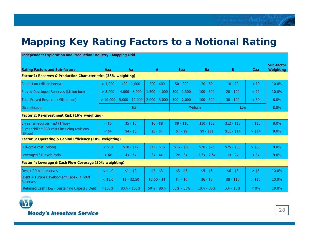### **Mapping Key Rating Factors to a Notional Rating**

| Independent Exploration and Production Industry - Mapping Grid  |             |                  |                 |               |               |              |         |                                |  |  |  |  |
|-----------------------------------------------------------------|-------------|------------------|-----------------|---------------|---------------|--------------|---------|--------------------------------|--|--|--|--|
| <b>Rating Factors and Sub-factors</b>                           | Aaa         | Aa               | $\mathbf{A}$    | Baa           | <b>Ba</b>     | B.           | Caa     | Sub-factor<br><b>Weighting</b> |  |  |  |  |
| Factor 1: Reserves & Production Characteristics (36% weighting) |             |                  |                 |               |               |              |         |                                |  |  |  |  |
| Production (Million boe/yr)                                     | > 1,000     | $400 - 1,000$    | $200 - 400$     | $50 - 200$    | $20 - 50$     | $10 - 20$    | < 10    | 10.0%                          |  |  |  |  |
| Proved Developed Reserves (Million boe)                         | > 8,000     | $4,000 - 8,000$  | $1,500 - 4,000$ | $300 - 1,500$ | $100 - 300$   | $20 - 100$   | < 20    | 10.0%                          |  |  |  |  |
| <b>Total Proved Reserves (Million boe)</b>                      | > 10,000    | $5,000 - 10,000$ | $2,000 - 5,000$ | $500 - 2,000$ | $100 - 500$   | $30 - 100$   | < 30    | 8.0%                           |  |  |  |  |
| <b>Diversification</b>                                          | <b>High</b> |                  |                 | Medium        |               | Low          |         | 8.0%                           |  |  |  |  |
| Factor 2: Re-investment Risk (16% weighting)                    |             |                  |                 |               |               |              |         |                                |  |  |  |  |
| 3-year all-sources F&D (\$/boe)                                 | $<$ \$5     | $$5 - $6$        | $$6 - $8$       | $$8 - $10$    | $$10 - $12$   | $$12 - $15$  | > \$15  | 8.0%                           |  |  |  |  |
| 3-year drillbit F&D costs including revisions<br>(\$/boe)       | $<$ \$4     | $$4 - $5$        | $$5 - $7$       | $$7 - $9$     | $$9 - $11$    | $$11 - $14$  | > \$14  | 8.0%                           |  |  |  |  |
| Factor 3: Operating & Capital Efficiency (18% weighting)        |             |                  |                 |               |               |              |         |                                |  |  |  |  |
| Full-cycle cost (\$/boe)                                        | $<$ \$10    | $$10 - $12$      | $$12 - $16$     | $$16 - $20$   | $$20 - $25$   | $$25 - $30$  | > \$30  | 9.0%                           |  |  |  |  |
| Leveraged full-cycle ratio                                      | > 6x        | $4x - 6x$        | $3x - 4x$       | $2x - 3x$     | $1.5x - 2.5x$ | $1x - 2x$    | < 1x    | 9.0%                           |  |  |  |  |
| Factor 4: Leverage & Cash Flow Coverage (30% weighting)         |             |                  |                 |               |               |              |         |                                |  |  |  |  |
| Debt / PD boe reserves                                          | $<$ \$1.0   | $$1 - $2$        | $$2 - $3$       | $$3 - $5$     | $$5 - $6$     | $$6 - $8$    | > \$8   | 10.0%                          |  |  |  |  |
| (Debt + Future Development Capex) / Total<br><b>Reserves</b>    | $<$ \$1.0   | $$1 - $2.50$     | $$2.50 - $4$    | $$4 - $6$     | $$6 - $8$     | $$8 - $10$   | > \$10  | 10.0%                          |  |  |  |  |
| (Retained Cash Flow - Sustaining Capex) / Debt                  | $>100\%$    | 80% - 100%       | 50% - 80%       | $30\% - 50\%$ | 10% - 30%     | $0\% - 10\%$ | $< 0\%$ | 10.0%                          |  |  |  |  |

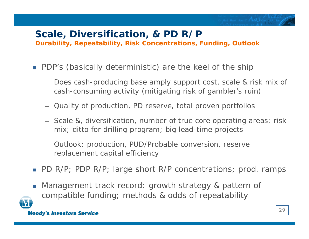#### **Scale, Diversification, & PD R/P** *Durability, Repeatability, Risk Concentrations, Funding, Outlook*

- **PDP's (basically deterministic) are the keel of the ship** 
	- Does cash-producing base amply support cost, scale & risk mix of cash-consuming activity (mitigating risk of gambler's ruin)
	- Quality of production, PD reserve, total proven portfolios
	- Scale &, diversification, number of true core operating areas; risk mix; ditto for drilling program; big lead-time projects
	- Outlook: production, PUD/Probable conversion, reserve replacement capital efficiency
- PD R/P; PDP R/P; large short R/P concentrations; prod. ramps
- r. Management track record: growth strategy & pattern of compatible funding; methods & odds of repeatability

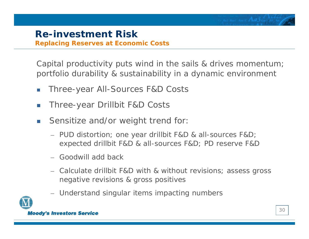*Replacing Reserves at Economic Costs*

Capital productivity puts wind in the sails & drives momentum; portfolio durability & sustainability in a dynamic environment

- П Three-year All-Sources F&D Costs
- П Three-year Drillbit F&D Costs
- $\sim$  Sensitize and/or weight trend for:
	- PUD distortion; one year drillbit F&D & all-sources F&D; expected drillbit F&D & all-sources F&D; PD reserve F&D
	- Goodwill add back
	- Calculate drillbit F&D with & without revisions; assess gross negative revisions & gross positives
	- Understand singular items impacting numbers

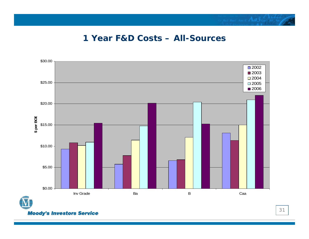#### **1 Year F&D Costs – All-Sources**

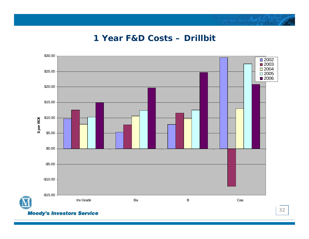

#### **1 Year F&D Costs – Drillbit**

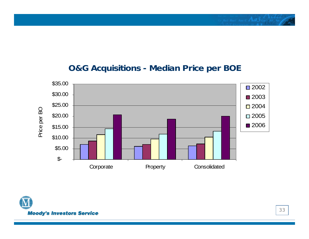

#### **O&G Acquisitions - Median Price per BOE**



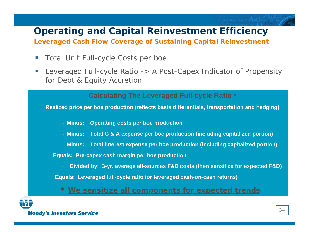### **Operating and Capital Reinvestment Efficiency**

*Leveraged Cash Flow Coverage of Sustaining Capital Reinvestment*

- $\mathbb{R}^3$ Total Unit Full-cycle Costs per boe
- Ξ Leveraged Full-cycle Ratio -> A Post-Capex Indicator of Propensity for Debt & Equity Accretion

**Calculating The Leveraged Full-cycle Ratio \*** 

**Realized price per boe production (reflects basis differentials, transportation and hedging)**

- Minus: **Minus: Operating costs per boe production**
- **Minus: Total G & A expense per boe production (including capitalized portion)**
- **Minus: Total interest expense per boe production (including capitalized portion)**

**Equals: Pre-capex cash margin per boe production**

**Divided by: 3-yr. average all-sources F&D costs (then sensitize for expected F&D)** 

**Equals: Leveraged full-cycle ratio (or leveraged cash-on-cash returns)**

*\* We sensitize all components for expected trends*



**Moody's Investors Service** 

But Built Nau C  $Ad3\,$  Cast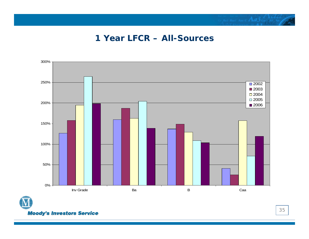

#### **1 Year LFCR – All-Sources**





35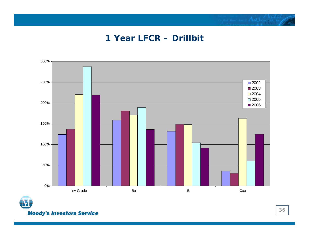

#### **1 Year LFCR – Drillbit**





36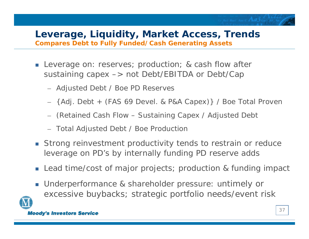### **Leverage, Liquidity, Market Access, Trends**

*Compares Debt to Fully Funded/Cash Generating Assets*

- **Leverage on: reserves; production; & cash flow after** sustaining capex –> not Debt/EBITDA or Debt/Cap
	- Adjusted Debt / Boe PD Reserves
	- {Adj. Debt + (FAS 69 Devel. & P&A Capex)} / Boe Total Proven
	- (Retained Cash Flow Sustaining Capex / Adjusted Debt
	- Total Adjusted Debt / Boe Production
- **Strong reinvestment productivity tends to restrain or reduce** leverage on PD's by internally funding PD reserve adds
- Lead time/cost of major projects; production & funding impact
- Underperformance & shareholder pressure: untimely or excessive buybacks; strategic portfolio needs/event risk

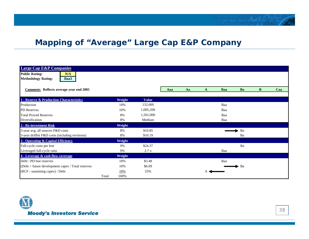#### **Mapping of "Average" Large Cap E&P Company**

| <b>Large Cap E&amp;P Companies</b>                |        |              |     |    |   |     |                          |   |     |
|---------------------------------------------------|--------|--------------|-----|----|---|-----|--------------------------|---|-----|
| <b>Public Rating:</b><br>N/A                      |        |              |     |    |   |     |                          |   |     |
| <b>Methodology Rating:</b><br>Baa3                |        |              |     |    |   |     |                          |   |     |
|                                                   |        |              |     |    |   |     |                          |   |     |
| <b>Comment:</b> Reflects average year end 2005    |        |              | Aaa | Aa | A | Baa | Ba                       | B | Caa |
|                                                   |        |              |     |    |   |     |                          |   |     |
| 1 - Reserve & Production Characteristics          | Weight | <b>Value</b> |     |    |   |     |                          |   |     |
| Production                                        | 10%    | 132,600      |     |    |   | Baa |                          |   |     |
| <b>PD</b> Reserves                                | 10%    | 1,005,200    |     |    |   | Baa |                          |   |     |
| <b>Total Proved Reserves</b>                      | 8%     | 1,501,000    |     |    |   | Baa |                          |   |     |
| Diversification                                   | 8%     | Medium       |     |    |   | Baa |                          |   |     |
| 2 - Re-investment Risk                            | Weight |              |     |    |   |     |                          |   |     |
| 3-year avg. all sources F&D costs                 | 8%     | \$10.85      |     |    |   |     | Ba                       |   |     |
| 3-year drillbit F&D costs (including revisions)   | 8%     | \$10.19      |     |    |   |     | Ba                       |   |     |
| 3 - Operating & Capital Efficiency                | Weight |              |     |    |   |     |                          |   |     |
| Full-cycle costs per boe                          | 9%     | \$24.37      |     |    |   |     | Ba                       |   |     |
| Leveraged full-cycle ratio                        | 9%     | 2.7x         |     |    |   | Baa |                          |   |     |
| 4 - Leverage & cash flow coverage                 | Weight |              |     |    |   |     |                          |   |     |
| Debt / PD boe reserves                            | 10%    | \$3.48       |     |    |   | Baa |                          |   |     |
| (Debt + future development capex / Total reserves | 10%    | \$6.09       |     |    |   |     | $\blacktriangleright$ Ba |   |     |
| (RCF - sustaining capex) / Debt                   | 10%    | 53%          |     |    | A |     |                          |   |     |
| Total                                             | 100%   |              |     |    |   |     |                          |   |     |

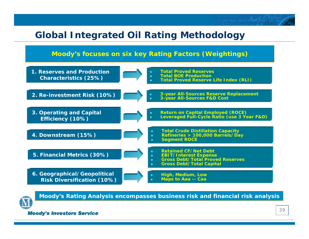### **Global Integrated Oil Rating Methodology**

#### **Moody's focuses on six key Rating Factors (Weightings)**



*Moody's Rating Analysis encompasses business risk and financial risk analysis*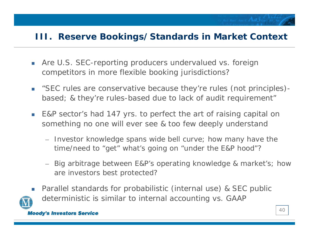#### **III. Reserve Bookings/Standards in Market Context**

- × Are U.S. SEC-reporting producers undervalued vs. foreign competitors in more flexible booking jurisdictions *?*
- $\mathcal{L}^{\text{max}}$  "SEC rules are conservative because they're rules (not principles) based; & they're rules-based due to lack of audit requirement"
- $\mathcal{L}_{\text{max}}$  E&P sector's had 147 yrs. to perfect the art of raising capital on something no one will ever see & too few deeply understand
	- Investor knowledge spans wide bell curve; how many have the time/need to "get" what's going on "under the E&P hood"?
	- Big arbitrage between E&P's operating knowledge & market's; how are investors best protected?
- × Parallel standards for probabilistic (internal use) & SEC public deterministic is similar to internal accounting vs. GAAP

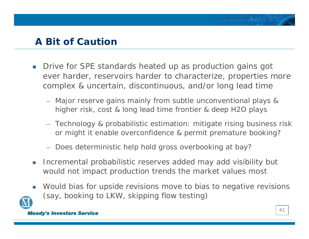### **A Bit of Caution**

- P. Drive for SPE standards heated up as production gains got ever harder, reservoirs harder to characterize, properties more complex & uncertain, discontinuous, and/or long lead time
	- Major reserve gains mainly from subtle unconventional plays & higher risk, cost & long lead time frontier & deep H2O plays
	- Technology & probabilistic estimation: mitigate rising business risk or might it enable overconfidence & permit premature booking?
	- Does deterministic help hold gross overbooking at bay?
- П Incremental probabilistic reserves added may add visibility but would not impact production trends the market values most
- $\overline{\phantom{a}}$  Would bias for upside revisions move to bias to negative revisions (say, booking to LKW, skipping flow testing)

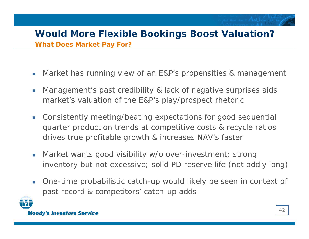#### **Would More Flexible Bookings Boost Valuation?**

*What Does Market Pay For?*

- b. Market has running view of an E&P's propensities & management
- $\overline{\phantom{a}}$  Management's past credibility & lack of negative surprises aids market's valuation of the E&P's play/prospect rhetoric
- $\mathcal{C}$  Consistently meeting/beating expectations for good sequential quarter production trends at competitive costs & recycle ratios drives true profitable growth & increases NAV's faster
- $\mathbb{R}^2$  Market wants good visibility w/o over-investment; strong inventory but not excessive; solid PD reserve life (not oddly long)
- b. One-time probabilistic catch-up would likely be seen in context of past record & competitors' catch-up adds

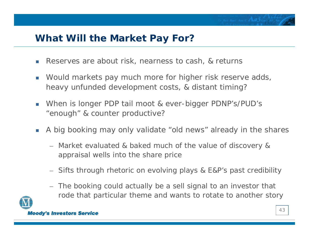#### **What Will the Market Pay For?**

- П Reserves are about risk, nearness to cash, & returns
- Would markets pay much more for higher risk reserve adds, heavy unfunded development costs, & distant timing?
- × When is longer PDP tail moot & ever-bigger PDNP's/PUD's "enough" & counter productive?
- $\mathcal{L}_{\mathcal{A}}$  A big booking may only validate "old news" already in the shares
	- Market evaluated & baked much of the value of discovery & appraisal wells into the share price
	- Sifts through rhetoric on evolving plays & E&P's past credibility
	- The booking could actually be a sell signal to an investor that rode that particular theme and wants to rotate to another story

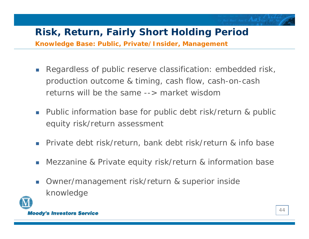# **Risk, Return, Fairly Short Holding Period**

*Knowledge Base: Public, Private/Insider, Management*

- $\mathcal{L}_{\mathcal{A}}$  Regardless of public reserve classification: embedded risk, production outcome & timing, cash flow, cash-on-cash returns will be the same --> *market wisdom*
- Public information base for public debt risk/return & public equity risk/return assessment
- П Private debt risk/return, bank debt risk/return & info base
- П Mezzanine & Private equity risk/return & information base
- $\mathcal{C}^{\mathcal{A}}$  Owner/management risk/return & superior inside knowledge

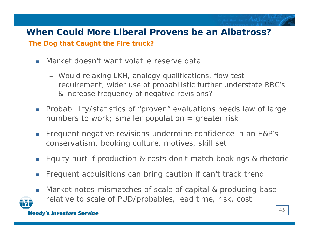#### **When Could More Liberal Provens be an Albatross?**

*The Dog that Caught the Fire truck?*

- П Market doesn't want volatile reserve data
	- Would relaxing LKH, analogy qualifications, flow test requirement, wider use of probabilistic further understate RRC's & increase frequency of negative revisions?
- $\mathcal{L}_{\mathcal{A}}$  Probabilility/statistics of "proven" evaluations needs law of large numbers to work; smaller population  $=$  greater risk
- П Frequent negative revisions undermine confidence in an E&P's conservatism, booking culture, motives, skill set
- $\sim$ Equity hurt if production & costs don't match bookings & rhetoric
- $\sim$ Frequent acquisitions can bring caution if can't track trend
- $\overline{\phantom{a}}$  Market notes mismatches of scale of capital & producing base relative to scale of PUD/probables, lead time, risk, cost

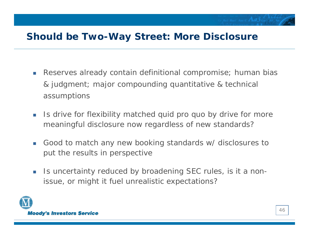### **Should be Two-Way Street: More Disclosure**

- $\overline{\phantom{a}}$  Reserves already contain definitional compromise; human bias & judgment; major compounding quantitative & technical assumptions
- $\mathbb{R}^n$  Is drive for flexibility matched quid pro quo by drive for more meaningful disclosure now regardless of new standards?
- П Good to match any new booking standards w/ disclosures to put the results in perspective
- П Is uncertainty reduced by broadening SEC rules, is it a nonissue, or might it fuel unrealistic expectations?

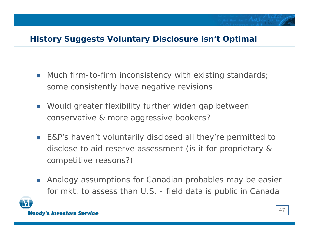#### **History Suggests Voluntary Disclosure isn't Optimal**

- n. Much firm-to-firm inconsistency with existing standards; some consistently have negative revisions
- Would greater flexibility further widen gap between conservative & more aggressive bookers?
- r. E&P's haven't voluntarily disclosed all they're permitted to disclose to aid reserve assessment (is it for proprietary & competitive reasons?)
- Analogy assumptions for Canadian probables may be easier for mkt. to assess than U.S. - field data is public in Canada

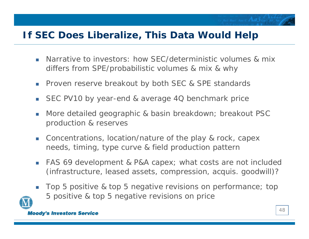### **If SEC Does Liberalize, This Data Would Help**

- × Narrative to investors: how SEC/deterministic volumes & mix differs from SPE/probabilistic volumes & mix & why
- Proven reserve breakout by both SEC & SPE standards
- $\mathcal{L}^{\mathcal{A}}$ SEC PV10 by year-end & average 4Q benchmark price
- П More detailed geographic & basin breakdown; breakout PSC production & reserves
- **Concentrations, location/nature of the play & rock, capex** needs, timing, type curve & field production pattern
- $\mathcal{L}_{\mathcal{A}}$  FAS 69 development & P&A capex; what costs are not included (infrastructure, leased assets, compression, acquis. goodwill)?
- $\sim$  Top 5 positive & top 5 negative revisions on performance; top 5 positive & top 5 negative revisions on price



**Moody's Investors Service** 

 $Ba3$  Baal Aaa C  $Ad3$  Can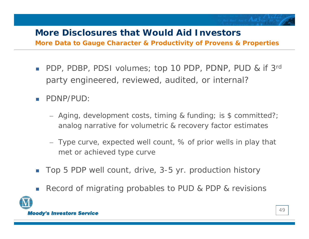#### **More Disclosures that Would Aid Investors**

*More Data to Gauge Character & Productivity of Provens & Properties*

- П PDP, PDBP, PDSI volumes; top 10 PDP, PDNP, PUD & if 3rd party engineered, reviewed, audited, or internal?
- PDNP/PUD:
	- Aging, development costs, timing & funding; is \$ committed?; analog narrative for volumetric & recovery factor estimates
	- Type curve, expected well count, % of prior wells in play that met or achieved type curve
- П Top 5 PDP well count, drive, 3-5 yr. production history
- П Record of migrating probables to PUD & PDP & revisions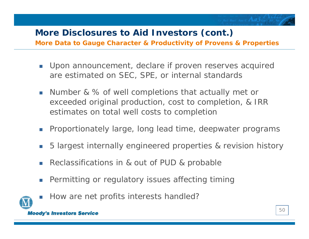#### **More Disclosures to Aid Investors (cont.)**

*More Data to Gauge Character & Productivity of Provens & Properties*

- $\overline{\mathbb{R}^n}$  Upon announcement, declare if proven reserves acquired are estimated on SEC, SPE, or internal standards
- $\mathcal{L}_{\mathcal{A}}$  Number & % of well completions that actually met or exceeded original production, cost to completion, & IRR estimates on total well costs to completion
- $\mathcal{C}^{\mathcal{A}}$ Proportionately large, long lead time, deepwater programs
- П 5 largest internally engineered properties & revision history
- П Reclassifications in & out of PUD & probable
- $\mathcal{C}^{\mathcal{A}}$ Permitting or regulatory issues affecting timing
- 
- П How are net profits interests handled?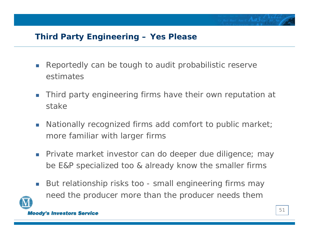#### **Third Party Engineering – Yes Please**

- $\mathcal{O}(\mathcal{A})$  Reportedly can be tough to audit probabilistic reserve estimates
- $\mathcal{L}^{\mathcal{L}}$  Third party engineering firms have their own reputation at stake
- $\mathcal{L}_{\mathcal{A}}$  Nationally recognized firms add comfort to public market; more familiar with larger firms
- Private market investor can do deeper due diligence; may be E&P specialized too & already know the smaller firms
- $\mathcal{L}^{\mathcal{L}}$  But relationship risks too - small engineering firms may need the producer more than the producer needs them